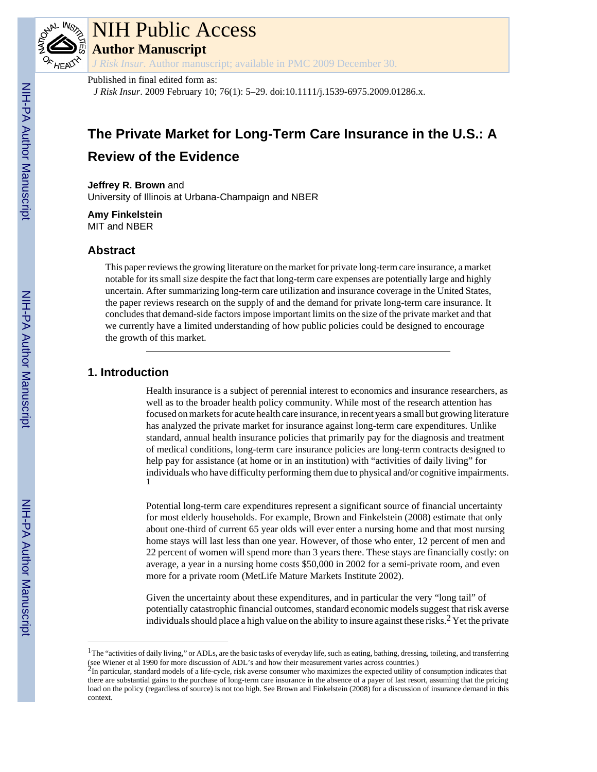

# NIH Public Access

**Author Manuscript**

*J Risk Insur*. Author manuscript; available in PMC 2009 December 30.

# Published in final edited form as:

*J Risk Insur*. 2009 February 10; 76(1): 5–29. doi:10.1111/j.1539-6975.2009.01286.x.

# **The Private Market for Long-Term Care Insurance in the U.S.: A Review of the Evidence**

## **Jeffrey R. Brown** and

University of Illinois at Urbana-Champaign and NBER

**Amy Finkelstein** MIT and NBER

# **Abstract**

This paper reviews the growing literature on the market for private long-term care insurance, a market notable for its small size despite the fact that long-term care expenses are potentially large and highly uncertain. After summarizing long-term care utilization and insurance coverage in the United States, the paper reviews research on the supply of and the demand for private long-term care insurance. It concludes that demand-side factors impose important limits on the size of the private market and that we currently have a limited understanding of how public policies could be designed to encourage the growth of this market.

# **1. Introduction**

Health insurance is a subject of perennial interest to economics and insurance researchers, as well as to the broader health policy community. While most of the research attention has focused on markets for acute health care insurance, in recent years a small but growing literature has analyzed the private market for insurance against long-term care expenditures. Unlike standard, annual health insurance policies that primarily pay for the diagnosis and treatment of medical conditions, long-term care insurance policies are long-term contracts designed to help pay for assistance (at home or in an institution) with "activities of daily living" for individuals who have difficulty performing them due to physical and/or cognitive impairments. 1

Potential long-term care expenditures represent a significant source of financial uncertainty for most elderly households. For example, Brown and Finkelstein (2008) estimate that only about one-third of current 65 year olds will ever enter a nursing home and that most nursing home stays will last less than one year. However, of those who enter, 12 percent of men and 22 percent of women will spend more than 3 years there. These stays are financially costly: on average, a year in a nursing home costs \$50,000 in 2002 for a semi-private room, and even more for a private room (MetLife Mature Markets Institute 2002).

Given the uncertainty about these expenditures, and in particular the very "long tail" of potentially catastrophic financial outcomes, standard economic models suggest that risk averse individuals should place a high value on the ability to insure against these risks.<sup>2</sup> Yet the private

 $<sup>1</sup>$ The "activities of daily living," or ADLs, are the basic tasks of everyday life, such as eating, bathing, dressing, toileting, and transferring</sup> (see Wiener et al 1990 for more discussion of ADL's and how their measurement varies across countries.)<br><sup>2</sup>In particular, standard models of a life-cycle, risk averse consumer who maximizes the expected utility of consumpt

there are substantial gains to the purchase of long-term care insurance in the absence of a payer of last resort, assuming that the pricing load on the policy (regardless of source) is not too high. See Brown and Finkelstein (2008) for a discussion of insurance demand in this context.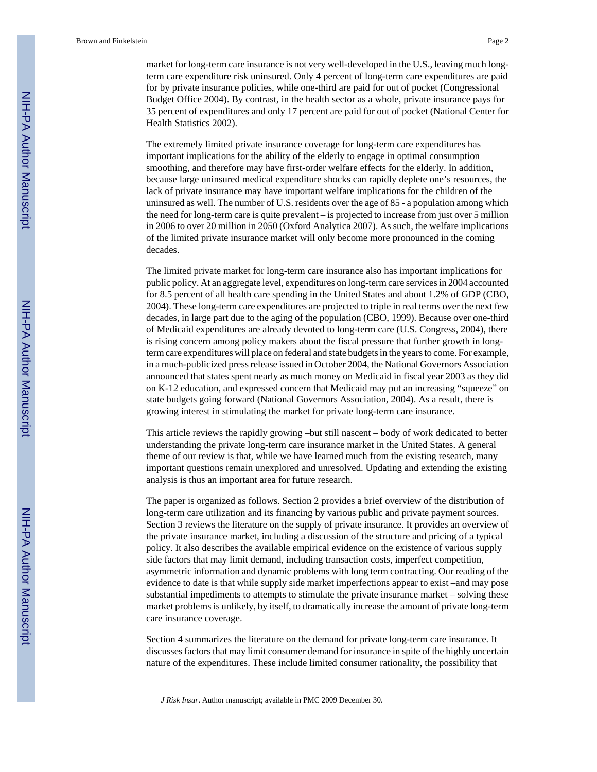market for long-term care insurance is not very well-developed in the U.S., leaving much longterm care expenditure risk uninsured. Only 4 percent of long-term care expenditures are paid for by private insurance policies, while one-third are paid for out of pocket (Congressional Budget Office 2004). By contrast, in the health sector as a whole, private insurance pays for 35 percent of expenditures and only 17 percent are paid for out of pocket (National Center for Health Statistics 2002).

The extremely limited private insurance coverage for long-term care expenditures has important implications for the ability of the elderly to engage in optimal consumption smoothing, and therefore may have first-order welfare effects for the elderly. In addition, because large uninsured medical expenditure shocks can rapidly deplete one's resources, the lack of private insurance may have important welfare implications for the children of the uninsured as well. The number of U.S. residents over the age of 85 - a population among which the need for long-term care is quite prevalent – is projected to increase from just over 5 million in 2006 to over 20 million in 2050 (Oxford Analytica 2007). As such, the welfare implications of the limited private insurance market will only become more pronounced in the coming decades.

The limited private market for long-term care insurance also has important implications for public policy. At an aggregate level, expenditures on long-term care services in 2004 accounted for 8.5 percent of all health care spending in the United States and about 1.2% of GDP (CBO, 2004). These long-term care expenditures are projected to triple in real terms over the next few decades, in large part due to the aging of the population (CBO, 1999). Because over one-third of Medicaid expenditures are already devoted to long-term care (U.S. Congress, 2004), there is rising concern among policy makers about the fiscal pressure that further growth in longterm care expenditures will place on federal and state budgets in the years to come. For example, in a much-publicized press release issued in October 2004, the National Governors Association announced that states spent nearly as much money on Medicaid in fiscal year 2003 as they did on K-12 education, and expressed concern that Medicaid may put an increasing "squeeze" on state budgets going forward (National Governors Association, 2004). As a result, there is growing interest in stimulating the market for private long-term care insurance.

This article reviews the rapidly growing –but still nascent – body of work dedicated to better understanding the private long-term care insurance market in the United States. A general theme of our review is that, while we have learned much from the existing research, many important questions remain unexplored and unresolved. Updating and extending the existing analysis is thus an important area for future research.

The paper is organized as follows. Section 2 provides a brief overview of the distribution of long-term care utilization and its financing by various public and private payment sources. Section 3 reviews the literature on the supply of private insurance. It provides an overview of the private insurance market, including a discussion of the structure and pricing of a typical policy. It also describes the available empirical evidence on the existence of various supply side factors that may limit demand, including transaction costs, imperfect competition, asymmetric information and dynamic problems with long term contracting. Our reading of the evidence to date is that while supply side market imperfections appear to exist –and may pose substantial impediments to attempts to stimulate the private insurance market – solving these market problems is unlikely, by itself, to dramatically increase the amount of private long-term care insurance coverage.

Section 4 summarizes the literature on the demand for private long-term care insurance. It discusses factors that may limit consumer demand for insurance in spite of the highly uncertain nature of the expenditures. These include limited consumer rationality, the possibility that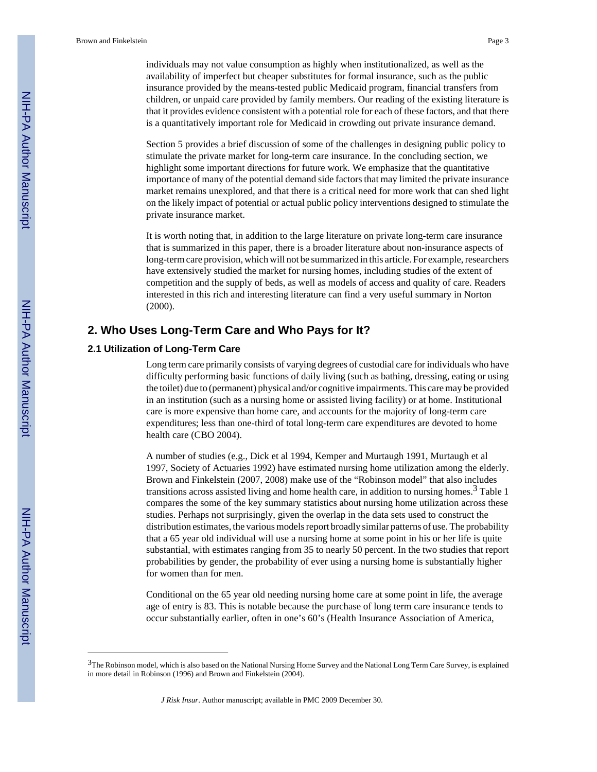individuals may not value consumption as highly when institutionalized, as well as the availability of imperfect but cheaper substitutes for formal insurance, such as the public insurance provided by the means-tested public Medicaid program, financial transfers from children, or unpaid care provided by family members. Our reading of the existing literature is that it provides evidence consistent with a potential role for each of these factors, and that there is a quantitatively important role for Medicaid in crowding out private insurance demand.

Section 5 provides a brief discussion of some of the challenges in designing public policy to stimulate the private market for long-term care insurance. In the concluding section, we highlight some important directions for future work. We emphasize that the quantitative importance of many of the potential demand side factors that may limited the private insurance market remains unexplored, and that there is a critical need for more work that can shed light on the likely impact of potential or actual public policy interventions designed to stimulate the private insurance market.

It is worth noting that, in addition to the large literature on private long-term care insurance that is summarized in this paper, there is a broader literature about non-insurance aspects of long-term care provision, which will not be summarized in this article. For example, researchers have extensively studied the market for nursing homes, including studies of the extent of competition and the supply of beds, as well as models of access and quality of care. Readers interested in this rich and interesting literature can find a very useful summary in Norton (2000).

# **2. Who Uses Long-Term Care and Who Pays for It?**

## **2.1 Utilization of Long-Term Care**

Long term care primarily consists of varying degrees of custodial care for individuals who have difficulty performing basic functions of daily living (such as bathing, dressing, eating or using the toilet) due to (permanent) physical and/or cognitive impairments. This care may be provided in an institution (such as a nursing home or assisted living facility) or at home. Institutional care is more expensive than home care, and accounts for the majority of long-term care expenditures; less than one-third of total long-term care expenditures are devoted to home health care (CBO 2004).

A number of studies (e.g., Dick et al 1994, Kemper and Murtaugh 1991, Murtaugh et al 1997, Society of Actuaries 1992) have estimated nursing home utilization among the elderly. Brown and Finkelstein (2007, 2008) make use of the "Robinson model" that also includes transitions across assisted living and home health care, in addition to nursing homes.<sup>3</sup> Table 1 compares the some of the key summary statistics about nursing home utilization across these studies. Perhaps not surprisingly, given the overlap in the data sets used to construct the distribution estimates, the various models report broadly similar patterns of use. The probability that a 65 year old individual will use a nursing home at some point in his or her life is quite substantial, with estimates ranging from 35 to nearly 50 percent. In the two studies that report probabilities by gender, the probability of ever using a nursing home is substantially higher for women than for men.

Conditional on the 65 year old needing nursing home care at some point in life, the average age of entry is 83. This is notable because the purchase of long term care insurance tends to occur substantially earlier, often in one's 60's (Health Insurance Association of America,

<sup>&</sup>lt;sup>3</sup>The Robinson model, which is also based on the National Nursing Home Survey and the National Long Term Care Survey, is explained in more detail in Robinson (1996) and Brown and Finkelstein (2004).

*J Risk Insur*. Author manuscript; available in PMC 2009 December 30.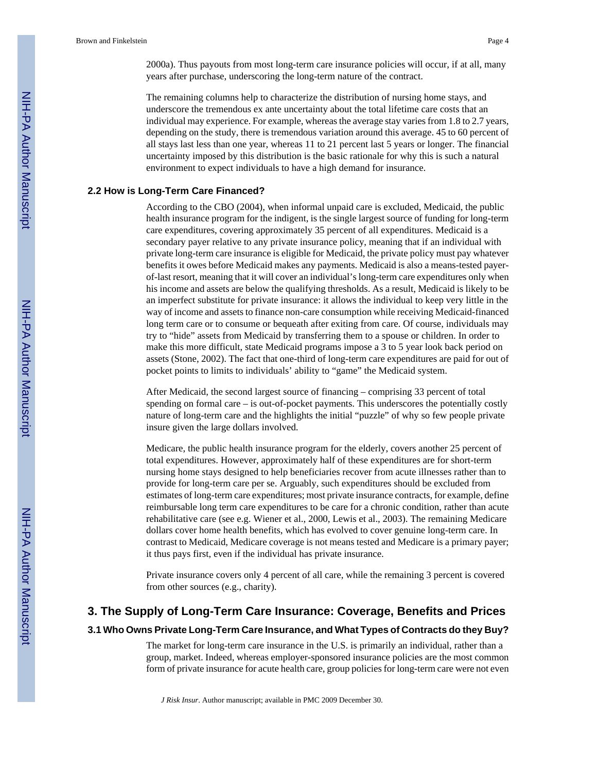The remaining columns help to characterize the distribution of nursing home stays, and underscore the tremendous ex ante uncertainty about the total lifetime care costs that an individual may experience. For example, whereas the average stay varies from 1.8 to 2.7 years, depending on the study, there is tremendous variation around this average. 45 to 60 percent of all stays last less than one year, whereas 11 to 21 percent last 5 years or longer. The financial uncertainty imposed by this distribution is the basic rationale for why this is such a natural environment to expect individuals to have a high demand for insurance.

# **2.2 How is Long-Term Care Financed?**

According to the CBO (2004), when informal unpaid care is excluded, Medicaid, the public health insurance program for the indigent, is the single largest source of funding for long-term care expenditures, covering approximately 35 percent of all expenditures. Medicaid is a secondary payer relative to any private insurance policy, meaning that if an individual with private long-term care insurance is eligible for Medicaid, the private policy must pay whatever benefits it owes before Medicaid makes any payments. Medicaid is also a means-tested payerof-last resort, meaning that it will cover an individual's long-term care expenditures only when his income and assets are below the qualifying thresholds. As a result, Medicaid is likely to be an imperfect substitute for private insurance: it allows the individual to keep very little in the way of income and assets to finance non-care consumption while receiving Medicaid-financed long term care or to consume or bequeath after exiting from care. Of course, individuals may try to "hide" assets from Medicaid by transferring them to a spouse or children. In order to make this more difficult, state Medicaid programs impose a 3 to 5 year look back period on assets (Stone, 2002). The fact that one-third of long-term care expenditures are paid for out of pocket points to limits to individuals' ability to "game" the Medicaid system.

After Medicaid, the second largest source of financing – comprising 33 percent of total spending on formal care – is out-of-pocket payments. This underscores the potentially costly nature of long-term care and the highlights the initial "puzzle" of why so few people private insure given the large dollars involved.

Medicare, the public health insurance program for the elderly, covers another 25 percent of total expenditures. However, approximately half of these expenditures are for short-term nursing home stays designed to help beneficiaries recover from acute illnesses rather than to provide for long-term care per se. Arguably, such expenditures should be excluded from estimates of long-term care expenditures; most private insurance contracts, for example, define reimbursable long term care expenditures to be care for a chronic condition, rather than acute rehabilitative care (see e.g. Wiener et al., 2000, Lewis et al., 2003). The remaining Medicare dollars cover home health benefits, which has evolved to cover genuine long-term care. In contrast to Medicaid, Medicare coverage is not means tested and Medicare is a primary payer; it thus pays first, even if the individual has private insurance.

Private insurance covers only 4 percent of all care, while the remaining 3 percent is covered from other sources (e.g., charity).

# **3. The Supply of Long-Term Care Insurance: Coverage, Benefits and Prices**

#### **3.1 Who Owns Private Long-Term Care Insurance, and What Types of Contracts do they Buy?**

The market for long-term care insurance in the U.S. is primarily an individual, rather than a group, market. Indeed, whereas employer-sponsored insurance policies are the most common form of private insurance for acute health care, group policies for long-term care were not even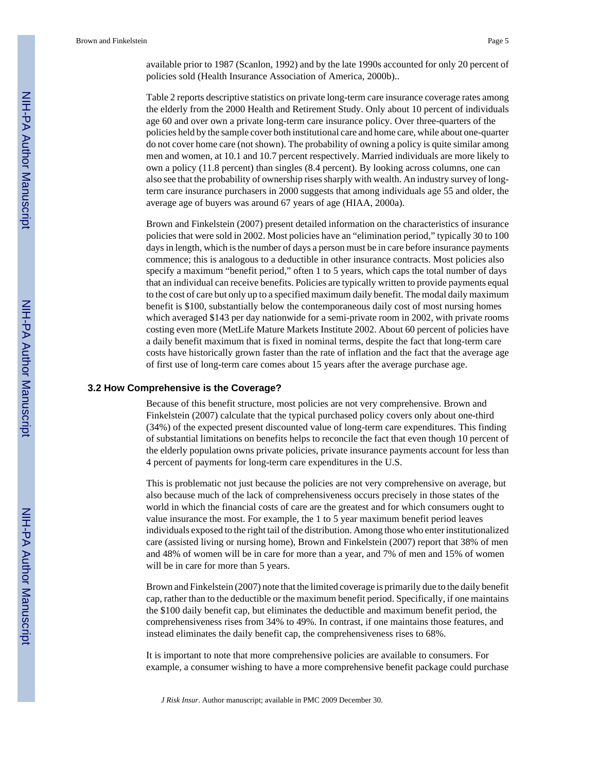available prior to 1987 (Scanlon, 1992) and by the late 1990s accounted for only 20 percent of policies sold (Health Insurance Association of America, 2000b)..

Table 2 reports descriptive statistics on private long-term care insurance coverage rates among the elderly from the 2000 Health and Retirement Study. Only about 10 percent of individuals age 60 and over own a private long-term care insurance policy. Over three-quarters of the policies held by the sample cover both institutional care and home care, while about one-quarter do not cover home care (not shown). The probability of owning a policy is quite similar among men and women, at 10.1 and 10.7 percent respectively. Married individuals are more likely to own a policy (11.8 percent) than singles (8.4 percent). By looking across columns, one can also see that the probability of ownership rises sharply with wealth. An industry survey of longterm care insurance purchasers in 2000 suggests that among individuals age 55 and older, the average age of buyers was around 67 years of age (HIAA, 2000a).

Brown and Finkelstein (2007) present detailed information on the characteristics of insurance policies that were sold in 2002. Most policies have an "elimination period," typically 30 to 100 days in length, which is the number of days a person must be in care before insurance payments commence; this is analogous to a deductible in other insurance contracts. Most policies also specify a maximum "benefit period," often 1 to 5 years, which caps the total number of days that an individual can receive benefits. Policies are typically written to provide payments equal to the cost of care but only up to a specified maximum daily benefit. The modal daily maximum benefit is \$100, substantially below the contemporaneous daily cost of most nursing homes which averaged \$143 per day nationwide for a semi-private room in 2002, with private rooms costing even more (MetLife Mature Markets Institute 2002. About 60 percent of policies have a daily benefit maximum that is fixed in nominal terms, despite the fact that long-term care costs have historically grown faster than the rate of inflation and the fact that the average age of first use of long-term care comes about 15 years after the average purchase age.

#### **3.2 How Comprehensive is the Coverage?**

Because of this benefit structure, most policies are not very comprehensive. Brown and Finkelstein (2007) calculate that the typical purchased policy covers only about one-third (34%) of the expected present discounted value of long-term care expenditures. This finding of substantial limitations on benefits helps to reconcile the fact that even though 10 percent of the elderly population owns private policies, private insurance payments account for less than 4 percent of payments for long-term care expenditures in the U.S.

This is problematic not just because the policies are not very comprehensive on average, but also because much of the lack of comprehensiveness occurs precisely in those states of the world in which the financial costs of care are the greatest and for which consumers ought to value insurance the most. For example, the 1 to 5 year maximum benefit period leaves individuals exposed to the right tail of the distribution. Among those who enter institutionalized care (assisted living or nursing home), Brown and Finkelstein (2007) report that 38% of men and 48% of women will be in care for more than a year, and 7% of men and 15% of women will be in care for more than 5 years.

Brown and Finkelstein (2007) note that the limited coverage is primarily due to the daily benefit cap, rather than to the deductible or the maximum benefit period. Specifically, if one maintains the \$100 daily benefit cap, but eliminates the deductible and maximum benefit period, the comprehensiveness rises from 34% to 49%. In contrast, if one maintains those features, and instead eliminates the daily benefit cap, the comprehensiveness rises to 68%.

It is important to note that more comprehensive policies are available to consumers. For example, a consumer wishing to have a more comprehensive benefit package could purchase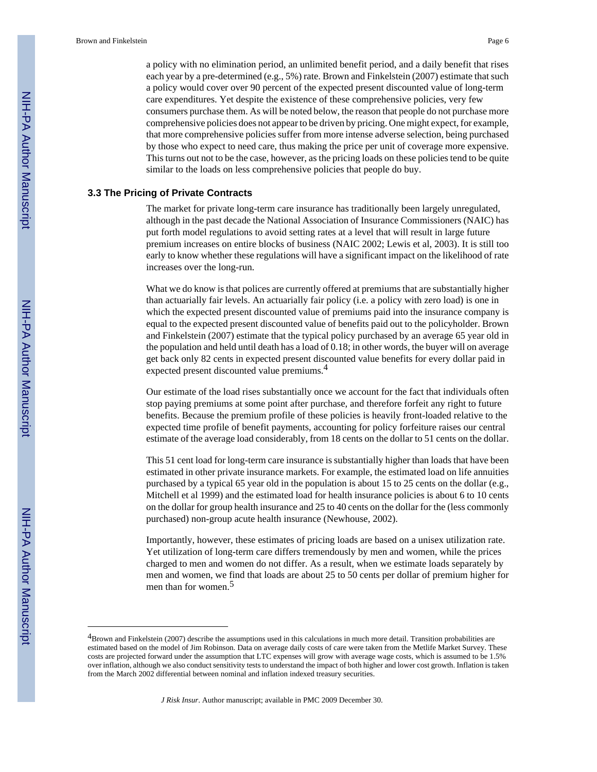a policy with no elimination period, an unlimited benefit period, and a daily benefit that rises each year by a pre-determined (e.g., 5%) rate. Brown and Finkelstein (2007) estimate that such a policy would cover over 90 percent of the expected present discounted value of long-term care expenditures. Yet despite the existence of these comprehensive policies, very few consumers purchase them. As will be noted below, the reason that people do not purchase more comprehensive policies does not appear to be driven by pricing. One might expect, for example, that more comprehensive policies suffer from more intense adverse selection, being purchased by those who expect to need care, thus making the price per unit of coverage more expensive. This turns out not to be the case, however, as the pricing loads on these policies tend to be quite similar to the loads on less comprehensive policies that people do buy.

# **3.3 The Pricing of Private Contracts**

The market for private long-term care insurance has traditionally been largely unregulated, although in the past decade the National Association of Insurance Commissioners (NAIC) has put forth model regulations to avoid setting rates at a level that will result in large future premium increases on entire blocks of business (NAIC 2002; Lewis et al, 2003). It is still too early to know whether these regulations will have a significant impact on the likelihood of rate increases over the long-run.

What we do know is that polices are currently offered at premiums that are substantially higher than actuarially fair levels. An actuarially fair policy (i.e. a policy with zero load) is one in which the expected present discounted value of premiums paid into the insurance company is equal to the expected present discounted value of benefits paid out to the policyholder. Brown and Finkelstein (2007) estimate that the typical policy purchased by an average 65 year old in the population and held until death has a load of 0.18; in other words, the buyer will on average get back only 82 cents in expected present discounted value benefits for every dollar paid in expected present discounted value premiums.4

Our estimate of the load rises substantially once we account for the fact that individuals often stop paying premiums at some point after purchase, and therefore forfeit any right to future benefits. Because the premium profile of these policies is heavily front-loaded relative to the expected time profile of benefit payments, accounting for policy forfeiture raises our central estimate of the average load considerably, from 18 cents on the dollar to 51 cents on the dollar.

This 51 cent load for long-term care insurance is substantially higher than loads that have been estimated in other private insurance markets. For example, the estimated load on life annuities purchased by a typical 65 year old in the population is about 15 to 25 cents on the dollar (e.g., Mitchell et al 1999) and the estimated load for health insurance policies is about 6 to 10 cents on the dollar for group health insurance and 25 to 40 cents on the dollar for the (less commonly purchased) non-group acute health insurance (Newhouse, 2002).

Importantly, however, these estimates of pricing loads are based on a unisex utilization rate. Yet utilization of long-term care differs tremendously by men and women, while the prices charged to men and women do not differ. As a result, when we estimate loads separately by men and women, we find that loads are about 25 to 50 cents per dollar of premium higher for men than for women.<sup>5</sup>

<sup>4</sup>Brown and Finkelstein (2007) describe the assumptions used in this calculations in much more detail. Transition probabilities are estimated based on the model of Jim Robinson. Data on average daily costs of care were taken from the Metlife Market Survey. These costs are projected forward under the assumption that LTC expenses will grow with average wage costs, which is assumed to be 1.5% over inflation, although we also conduct sensitivity tests to understand the impact of both higher and lower cost growth. Inflation is taken from the March 2002 differential between nominal and inflation indexed treasury securities.

*J Risk Insur*. Author manuscript; available in PMC 2009 December 30.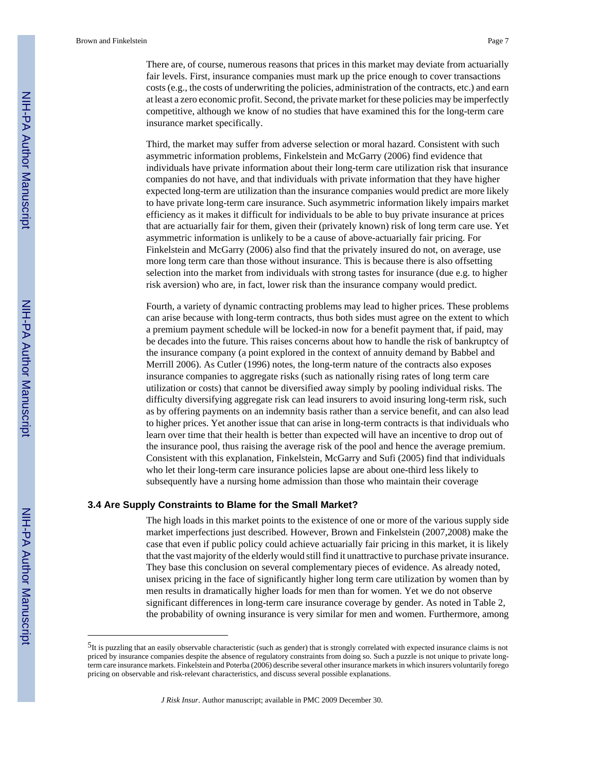There are, of course, numerous reasons that prices in this market may deviate from actuarially fair levels. First, insurance companies must mark up the price enough to cover transactions costs (e.g., the costs of underwriting the policies, administration of the contracts, etc.) and earn at least a zero economic profit. Second, the private market for these policies may be imperfectly competitive, although we know of no studies that have examined this for the long-term care insurance market specifically.

Third, the market may suffer from adverse selection or moral hazard. Consistent with such asymmetric information problems, Finkelstein and McGarry (2006) find evidence that individuals have private information about their long-term care utilization risk that insurance companies do not have, and that individuals with private information that they have higher expected long-term are utilization than the insurance companies would predict are more likely to have private long-term care insurance. Such asymmetric information likely impairs market efficiency as it makes it difficult for individuals to be able to buy private insurance at prices that are actuarially fair for them, given their (privately known) risk of long term care use. Yet asymmetric information is unlikely to be a cause of above-actuarially fair pricing. For Finkelstein and McGarry (2006) also find that the privately insured do not, on average, use more long term care than those without insurance. This is because there is also offsetting selection into the market from individuals with strong tastes for insurance (due e.g. to higher risk aversion) who are, in fact, lower risk than the insurance company would predict.

Fourth, a variety of dynamic contracting problems may lead to higher prices. These problems can arise because with long-term contracts, thus both sides must agree on the extent to which a premium payment schedule will be locked-in now for a benefit payment that, if paid, may be decades into the future. This raises concerns about how to handle the risk of bankruptcy of the insurance company (a point explored in the context of annuity demand by Babbel and Merrill 2006). As Cutler (1996) notes, the long-term nature of the contracts also exposes insurance companies to aggregate risks (such as nationally rising rates of long term care utilization or costs) that cannot be diversified away simply by pooling individual risks. The difficulty diversifying aggregate risk can lead insurers to avoid insuring long-term risk, such as by offering payments on an indemnity basis rather than a service benefit, and can also lead to higher prices. Yet another issue that can arise in long-term contracts is that individuals who learn over time that their health is better than expected will have an incentive to drop out of the insurance pool, thus raising the average risk of the pool and hence the average premium. Consistent with this explanation, Finkelstein, McGarry and Sufi (2005) find that individuals who let their long-term care insurance policies lapse are about one-third less likely to subsequently have a nursing home admission than those who maintain their coverage

## **3.4 Are Supply Constraints to Blame for the Small Market?**

The high loads in this market points to the existence of one or more of the various supply side market imperfections just described. However, Brown and Finkelstein (2007,2008) make the case that even if public policy could achieve actuarially fair pricing in this market, it is likely that the vast majority of the elderly would still find it unattractive to purchase private insurance. They base this conclusion on several complementary pieces of evidence. As already noted, unisex pricing in the face of significantly higher long term care utilization by women than by men results in dramatically higher loads for men than for women. Yet we do not observe significant differences in long-term care insurance coverage by gender. As noted in Table 2, the probability of owning insurance is very similar for men and women. Furthermore, among

<sup>5</sup>It is puzzling that an easily observable characteristic (such as gender) that is strongly correlated with expected insurance claims is not priced by insurance companies despite the absence of regulatory constraints from doing so. Such a puzzle is not unique to private longterm care insurance markets. Finkelstein and Poterba (2006) describe several other insurance markets in which insurers voluntarily forego pricing on observable and risk-relevant characteristics, and discuss several possible explanations.

*J Risk Insur*. Author manuscript; available in PMC 2009 December 30.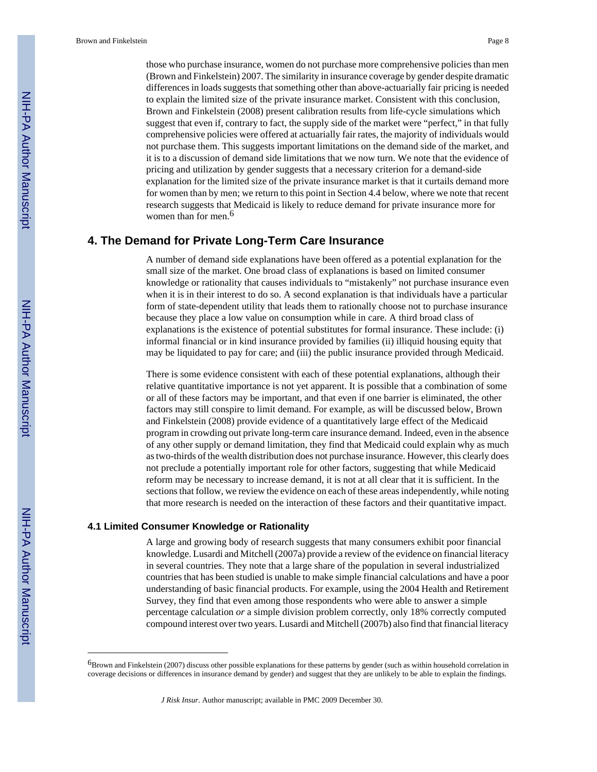those who purchase insurance, women do not purchase more comprehensive policies than men (Brown and Finkelstein) 2007. The similarity in insurance coverage by gender despite dramatic differences in loads suggests that something other than above-actuarially fair pricing is needed to explain the limited size of the private insurance market. Consistent with this conclusion, Brown and Finkelstein (2008) present calibration results from life-cycle simulations which suggest that even if, contrary to fact, the supply side of the market were "perfect," in that fully comprehensive policies were offered at actuarially fair rates, the majority of individuals would not purchase them. This suggests important limitations on the demand side of the market, and it is to a discussion of demand side limitations that we now turn. We note that the evidence of pricing and utilization by gender suggests that a necessary criterion for a demand-side explanation for the limited size of the private insurance market is that it curtails demand more for women than by men; we return to this point in Section 4.4 below, where we note that recent research suggests that Medicaid is likely to reduce demand for private insurance more for women than for men.<sup>6</sup>

# **4. The Demand for Private Long-Term Care Insurance**

A number of demand side explanations have been offered as a potential explanation for the small size of the market. One broad class of explanations is based on limited consumer knowledge or rationality that causes individuals to "mistakenly" not purchase insurance even when it is in their interest to do so. A second explanation is that individuals have a particular form of state-dependent utility that leads them to rationally choose not to purchase insurance because they place a low value on consumption while in care. A third broad class of explanations is the existence of potential substitutes for formal insurance. These include: (i) informal financial or in kind insurance provided by families (ii) illiquid housing equity that may be liquidated to pay for care; and (iii) the public insurance provided through Medicaid.

There is some evidence consistent with each of these potential explanations, although their relative quantitative importance is not yet apparent. It is possible that a combination of some or all of these factors may be important, and that even if one barrier is eliminated, the other factors may still conspire to limit demand. For example, as will be discussed below, Brown and Finkelstein (2008) provide evidence of a quantitatively large effect of the Medicaid program in crowding out private long-term care insurance demand. Indeed, even in the absence of any other supply or demand limitation, they find that Medicaid could explain why as much as two-thirds of the wealth distribution does not purchase insurance. However, this clearly does not preclude a potentially important role for other factors, suggesting that while Medicaid reform may be necessary to increase demand, it is not at all clear that it is sufficient. In the sections that follow, we review the evidence on each of these areas independently, while noting that more research is needed on the interaction of these factors and their quantitative impact.

#### **4.1 Limited Consumer Knowledge or Rationality**

A large and growing body of research suggests that many consumers exhibit poor financial knowledge. Lusardi and Mitchell (2007a) provide a review of the evidence on financial literacy in several countries. They note that a large share of the population in several industrialized countries that has been studied is unable to make simple financial calculations and have a poor understanding of basic financial products. For example, using the 2004 Health and Retirement Survey, they find that even among those respondents who were able to answer a simple percentage calculation *or* a simple division problem correctly, only 18% correctly computed compound interest over two years. Lusardi and Mitchell (2007b) also find that financial literacy

<sup>6</sup>Brown and Finkelstein (2007) discuss other possible explanations for these patterns by gender (such as within household correlation in coverage decisions or differences in insurance demand by gender) and suggest that they are unlikely to be able to explain the findings.

*J Risk Insur*. Author manuscript; available in PMC 2009 December 30.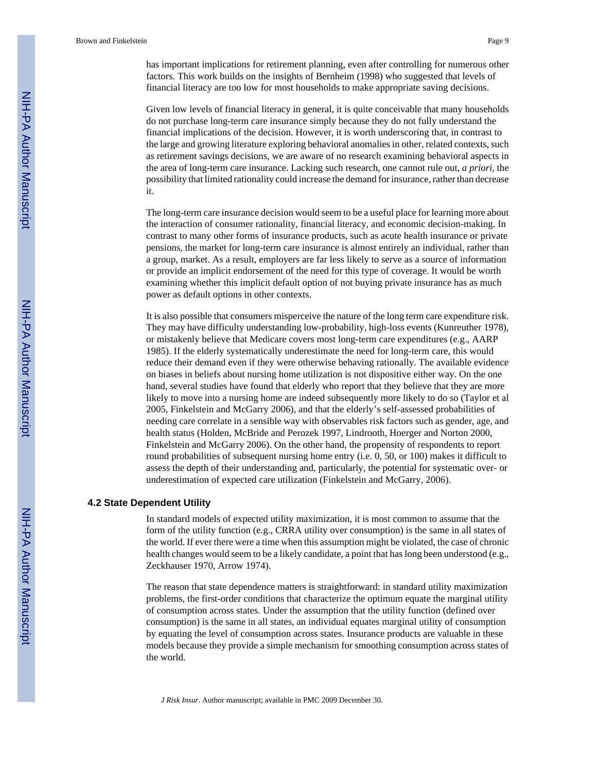has important implications for retirement planning, even after controlling for numerous other factors. This work builds on the insights of Bernheim (1998) who suggested that levels of financial literacy are too low for most households to make appropriate saving decisions.

Given low levels of financial literacy in general, it is quite conceivable that many households do not purchase long-term care insurance simply because they do not fully understand the financial implications of the decision. However, it is worth underscoring that, in contrast to the large and growing literature exploring behavioral anomalies in other, related contexts, such as retirement savings decisions, we are aware of no research examining behavioral aspects in the area of long-term care insurance. Lacking such research, one cannot rule out, *a priori*, the possibility that limited rationality could increase the demand for insurance, rather than decrease it.

The long-term care insurance decision would seem to be a useful place for learning more about the interaction of consumer rationality, financial literacy, and economic decision-making. In contrast to many other forms of insurance products, such as acute health insurance or private pensions, the market for long-term care insurance is almost entirely an individual, rather than a group, market. As a result, employers are far less likely to serve as a source of information or provide an implicit endorsement of the need for this type of coverage. It would be worth examining whether this implicit default option of not buying private insurance has as much power as default options in other contexts.

It is also possible that consumers misperceive the nature of the long term care expenditure risk. They may have difficulty understanding low-probability, high-loss events (Kunreuther 1978), or mistakenly believe that Medicare covers most long-term care expenditures (e.g., AARP 1985). If the elderly systematically underestimate the need for long-term care, this would reduce their demand even if they were otherwise behaving rationally. The available evidence on biases in beliefs about nursing home utilization is not dispositive either way. On the one hand, several studies have found that elderly who report that they believe that they are more likely to move into a nursing home are indeed subsequently more likely to do so (Taylor et al 2005, Finkelstein and McGarry 2006), and that the elderly's self-assessed probabilities of needing care correlate in a sensible way with observables risk factors such as gender, age, and health status (Holden, McBride and Perozek 1997, Lindrooth, Hoerger and Norton 2000, Finkelstein and McGarry 2006). On the other hand, the propensity of respondents to report round probabilities of subsequent nursing home entry (i.e. 0, 50, or 100) makes it difficult to assess the depth of their understanding and, particularly, the potential for systematic over- or underestimation of expected care utilization (Finkelstein and McGarry, 2006).

# **4.2 State Dependent Utility**

In standard models of expected utility maximization, it is most common to assume that the form of the utility function (e.g., CRRA utility over consumption) is the same in all states of the world. If ever there were a time when this assumption might be violated, the case of chronic health changes would seem to be a likely candidate, a point that has long been understood (e.g., Zeckhauser 1970, Arrow 1974).

The reason that state dependence matters is straightforward: in standard utility maximization problems, the first-order conditions that characterize the optimum equate the marginal utility of consumption across states. Under the assumption that the utility function (defined over consumption) is the same in all states, an individual equates marginal utility of consumption by equating the level of consumption across states. Insurance products are valuable in these models because they provide a simple mechanism for smoothing consumption across states of the world.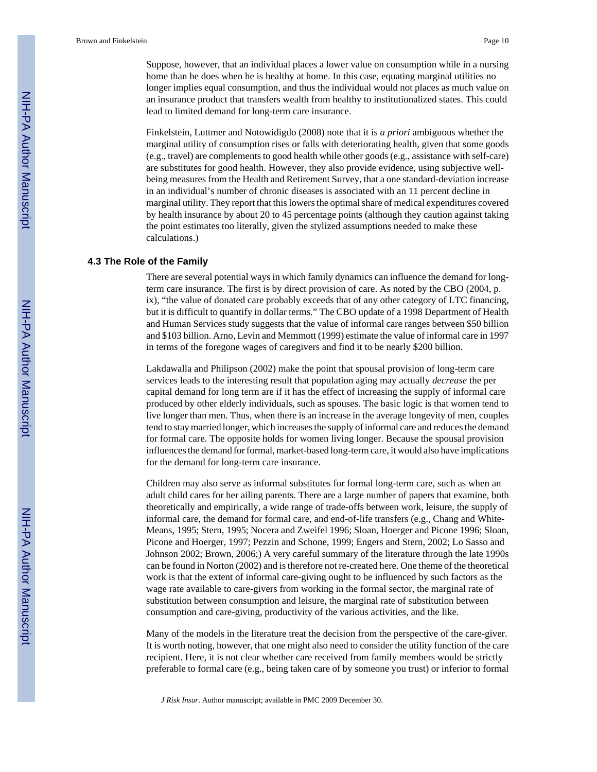Suppose, however, that an individual places a lower value on consumption while in a nursing home than he does when he is healthy at home. In this case, equating marginal utilities no longer implies equal consumption, and thus the individual would not places as much value on an insurance product that transfers wealth from healthy to institutionalized states. This could lead to limited demand for long-term care insurance.

Finkelstein, Luttmer and Notowidigdo (2008) note that it is *a priori* ambiguous whether the marginal utility of consumption rises or falls with deteriorating health, given that some goods (e.g., travel) are complements to good health while other goods (e.g., assistance with self-care) are substitutes for good health. However, they also provide evidence, using subjective wellbeing measures from the Health and Retirement Survey, that a one standard-deviation increase in an individual's number of chronic diseases is associated with an 11 percent decline in marginal utility. They report that this lowers the optimal share of medical expenditures covered by health insurance by about 20 to 45 percentage points (although they caution against taking the point estimates too literally, given the stylized assumptions needed to make these calculations.)

#### **4.3 The Role of the Family**

There are several potential ways in which family dynamics can influence the demand for longterm care insurance. The first is by direct provision of care. As noted by the CBO (2004, p. ix), "the value of donated care probably exceeds that of any other category of LTC financing, but it is difficult to quantify in dollar terms." The CBO update of a 1998 Department of Health and Human Services study suggests that the value of informal care ranges between \$50 billion and \$103 billion. Arno, Levin and Memmott (1999) estimate the value of informal care in 1997 in terms of the foregone wages of caregivers and find it to be nearly \$200 billion.

Lakdawalla and Philipson (2002) make the point that spousal provision of long-term care services leads to the interesting result that population aging may actually *decrease* the per capital demand for long term are if it has the effect of increasing the supply of informal care produced by other elderly individuals, such as spouses. The basic logic is that women tend to live longer than men. Thus, when there is an increase in the average longevity of men, couples tend to stay married longer, which increases the supply of informal care and reduces the demand for formal care. The opposite holds for women living longer. Because the spousal provision influences the demand for formal, market-based long-term care, it would also have implications for the demand for long-term care insurance.

Children may also serve as informal substitutes for formal long-term care, such as when an adult child cares for her ailing parents. There are a large number of papers that examine, both theoretically and empirically, a wide range of trade-offs between work, leisure, the supply of informal care, the demand for formal care, and end-of-life transfers (e.g., Chang and White-Means, 1995; Stern, 1995; Nocera and Zweifel 1996; Sloan, Hoerger and Picone 1996; Sloan, Picone and Hoerger, 1997; Pezzin and Schone, 1999; Engers and Stern, 2002; Lo Sasso and Johnson 2002; Brown, 2006;) A very careful summary of the literature through the late 1990s can be found in Norton (2002) and is therefore not re-created here. One theme of the theoretical work is that the extent of informal care-giving ought to be influenced by such factors as the wage rate available to care-givers from working in the formal sector, the marginal rate of substitution between consumption and leisure, the marginal rate of substitution between consumption and care-giving, productivity of the various activities, and the like.

Many of the models in the literature treat the decision from the perspective of the care-giver. It is worth noting, however, that one might also need to consider the utility function of the care recipient. Here, it is not clear whether care received from family members would be strictly preferable to formal care (e.g., being taken care of by someone you trust) or inferior to formal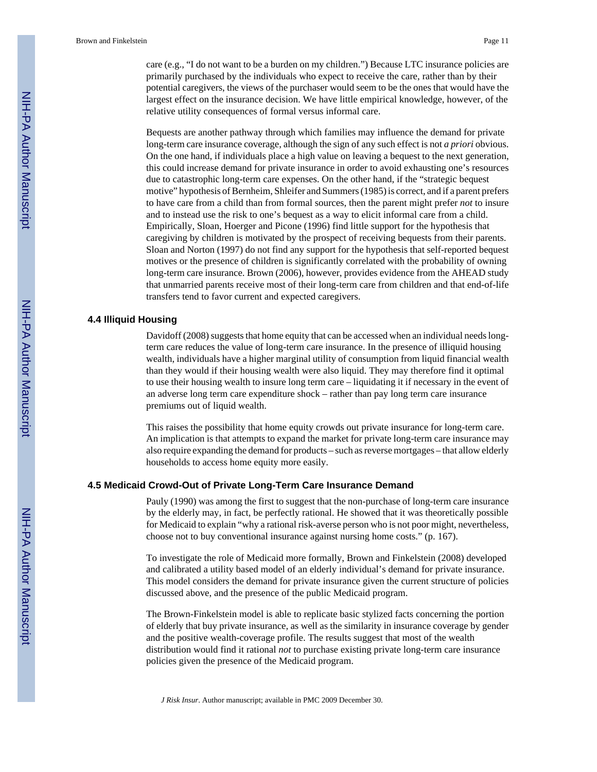care (e.g., "I do not want to be a burden on my children.") Because LTC insurance policies are primarily purchased by the individuals who expect to receive the care, rather than by their potential caregivers, the views of the purchaser would seem to be the ones that would have the largest effect on the insurance decision. We have little empirical knowledge, however, of the relative utility consequences of formal versus informal care.

Bequests are another pathway through which families may influence the demand for private long-term care insurance coverage, although the sign of any such effect is not *a priori* obvious. On the one hand, if individuals place a high value on leaving a bequest to the next generation, this could increase demand for private insurance in order to avoid exhausting one's resources due to catastrophic long-term care expenses. On the other hand, if the "strategic bequest motive" hypothesis of Bernheim, Shleifer and Summers (1985) is correct, and if a parent prefers to have care from a child than from formal sources, then the parent might prefer *not* to insure and to instead use the risk to one's bequest as a way to elicit informal care from a child. Empirically, Sloan, Hoerger and Picone (1996) find little support for the hypothesis that caregiving by children is motivated by the prospect of receiving bequests from their parents. Sloan and Norton (1997) do not find any support for the hypothesis that self-reported bequest motives or the presence of children is significantly correlated with the probability of owning long-term care insurance. Brown (2006), however, provides evidence from the AHEAD study that unmarried parents receive most of their long-term care from children and that end-of-life transfers tend to favor current and expected caregivers.

#### **4.4 Illiquid Housing**

Davidoff (2008) suggests that home equity that can be accessed when an individual needs longterm care reduces the value of long-term care insurance. In the presence of illiquid housing wealth, individuals have a higher marginal utility of consumption from liquid financial wealth than they would if their housing wealth were also liquid. They may therefore find it optimal to use their housing wealth to insure long term care – liquidating it if necessary in the event of an adverse long term care expenditure shock – rather than pay long term care insurance premiums out of liquid wealth.

This raises the possibility that home equity crowds out private insurance for long-term care. An implication is that attempts to expand the market for private long-term care insurance may also require expanding the demand for products – such as reverse mortgages – that allow elderly households to access home equity more easily.

#### **4.5 Medicaid Crowd-Out of Private Long-Term Care Insurance Demand**

Pauly (1990) was among the first to suggest that the non-purchase of long-term care insurance by the elderly may, in fact, be perfectly rational. He showed that it was theoretically possible for Medicaid to explain "why a rational risk-averse person who is not poor might, nevertheless, choose not to buy conventional insurance against nursing home costs." (p. 167).

To investigate the role of Medicaid more formally, Brown and Finkelstein (2008) developed and calibrated a utility based model of an elderly individual's demand for private insurance. This model considers the demand for private insurance given the current structure of policies discussed above, and the presence of the public Medicaid program.

The Brown-Finkelstein model is able to replicate basic stylized facts concerning the portion of elderly that buy private insurance, as well as the similarity in insurance coverage by gender and the positive wealth-coverage profile. The results suggest that most of the wealth distribution would find it rational *not* to purchase existing private long-term care insurance policies given the presence of the Medicaid program.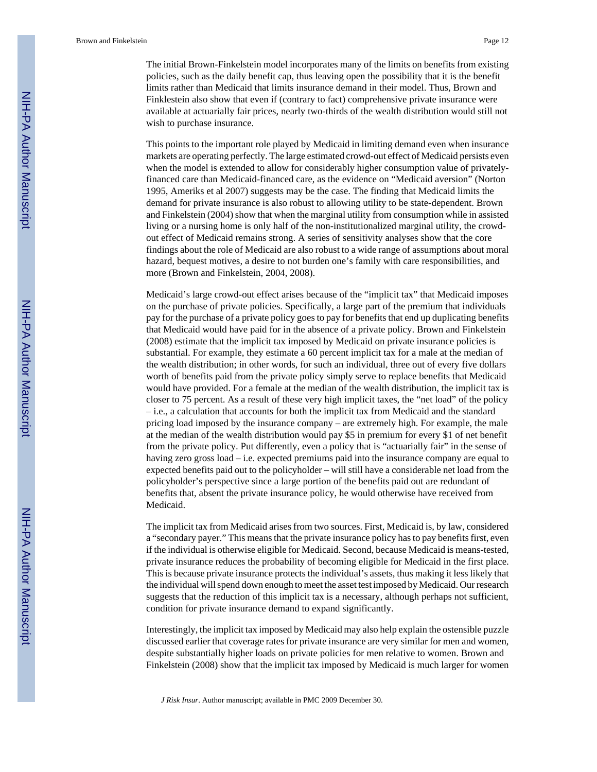The initial Brown-Finkelstein model incorporates many of the limits on benefits from existing policies, such as the daily benefit cap, thus leaving open the possibility that it is the benefit limits rather than Medicaid that limits insurance demand in their model. Thus, Brown and Finklestein also show that even if (contrary to fact) comprehensive private insurance were available at actuarially fair prices, nearly two-thirds of the wealth distribution would still not wish to purchase insurance.

This points to the important role played by Medicaid in limiting demand even when insurance markets are operating perfectly. The large estimated crowd-out effect of Medicaid persists even when the model is extended to allow for considerably higher consumption value of privatelyfinanced care than Medicaid-financed care, as the evidence on "Medicaid aversion" (Norton 1995, Ameriks et al 2007) suggests may be the case. The finding that Medicaid limits the demand for private insurance is also robust to allowing utility to be state-dependent. Brown and Finkelstein (2004) show that when the marginal utility from consumption while in assisted living or a nursing home is only half of the non-institutionalized marginal utility, the crowdout effect of Medicaid remains strong. A series of sensitivity analyses show that the core findings about the role of Medicaid are also robust to a wide range of assumptions about moral hazard, bequest motives, a desire to not burden one's family with care responsibilities, and more (Brown and Finkelstein, 2004, 2008).

Medicaid's large crowd-out effect arises because of the "implicit tax" that Medicaid imposes on the purchase of private policies. Specifically, a large part of the premium that individuals pay for the purchase of a private policy goes to pay for benefits that end up duplicating benefits that Medicaid would have paid for in the absence of a private policy. Brown and Finkelstein (2008) estimate that the implicit tax imposed by Medicaid on private insurance policies is substantial. For example, they estimate a 60 percent implicit tax for a male at the median of the wealth distribution; in other words, for such an individual, three out of every five dollars worth of benefits paid from the private policy simply serve to replace benefits that Medicaid would have provided. For a female at the median of the wealth distribution, the implicit tax is closer to 75 percent. As a result of these very high implicit taxes, the "net load" of the policy – i.e., a calculation that accounts for both the implicit tax from Medicaid and the standard pricing load imposed by the insurance company – are extremely high. For example, the male at the median of the wealth distribution would pay \$5 in premium for every \$1 of net benefit from the private policy. Put differently, even a policy that is "actuarially fair" in the sense of having zero gross load – i.e. expected premiums paid into the insurance company are equal to expected benefits paid out to the policyholder – will still have a considerable net load from the policyholder's perspective since a large portion of the benefits paid out are redundant of benefits that, absent the private insurance policy, he would otherwise have received from Medicaid.

The implicit tax from Medicaid arises from two sources. First, Medicaid is, by law, considered a "secondary payer." This means that the private insurance policy has to pay benefits first, even if the individual is otherwise eligible for Medicaid. Second, because Medicaid is means-tested, private insurance reduces the probability of becoming eligible for Medicaid in the first place. This is because private insurance protects the individual's assets, thus making it less likely that the individual will spend down enough to meet the asset test imposed by Medicaid. Our research suggests that the reduction of this implicit tax is a necessary, although perhaps not sufficient, condition for private insurance demand to expand significantly.

Interestingly, the implicit tax imposed by Medicaid may also help explain the ostensible puzzle discussed earlier that coverage rates for private insurance are very similar for men and women, despite substantially higher loads on private policies for men relative to women. Brown and Finkelstein (2008) show that the implicit tax imposed by Medicaid is much larger for women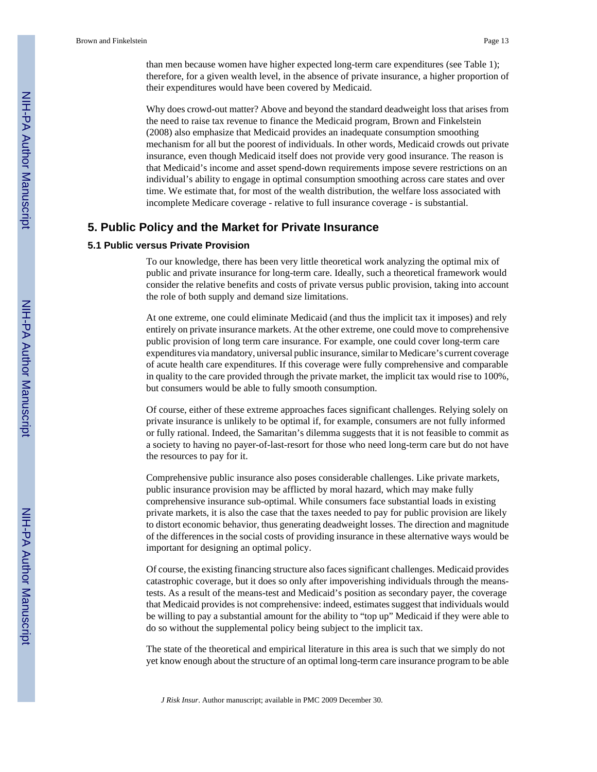than men because women have higher expected long-term care expenditures (see Table 1); therefore, for a given wealth level, in the absence of private insurance, a higher proportion of their expenditures would have been covered by Medicaid.

Why does crowd-out matter? Above and beyond the standard deadweight loss that arises from the need to raise tax revenue to finance the Medicaid program, Brown and Finkelstein (2008) also emphasize that Medicaid provides an inadequate consumption smoothing mechanism for all but the poorest of individuals. In other words, Medicaid crowds out private insurance, even though Medicaid itself does not provide very good insurance. The reason is that Medicaid's income and asset spend-down requirements impose severe restrictions on an individual's ability to engage in optimal consumption smoothing across care states and over time. We estimate that, for most of the wealth distribution, the welfare loss associated with incomplete Medicare coverage - relative to full insurance coverage - is substantial.

# **5. Public Policy and the Market for Private Insurance**

## **5.1 Public versus Private Provision**

To our knowledge, there has been very little theoretical work analyzing the optimal mix of public and private insurance for long-term care. Ideally, such a theoretical framework would consider the relative benefits and costs of private versus public provision, taking into account the role of both supply and demand size limitations.

At one extreme, one could eliminate Medicaid (and thus the implicit tax it imposes) and rely entirely on private insurance markets. At the other extreme, one could move to comprehensive public provision of long term care insurance. For example, one could cover long-term care expenditures via mandatory, universal public insurance, similar to Medicare's current coverage of acute health care expenditures. If this coverage were fully comprehensive and comparable in quality to the care provided through the private market, the implicit tax would rise to 100%, but consumers would be able to fully smooth consumption.

Of course, either of these extreme approaches faces significant challenges. Relying solely on private insurance is unlikely to be optimal if, for example, consumers are not fully informed or fully rational. Indeed, the Samaritan's dilemma suggests that it is not feasible to commit as a society to having no payer-of-last-resort for those who need long-term care but do not have the resources to pay for it.

Comprehensive public insurance also poses considerable challenges. Like private markets, public insurance provision may be afflicted by moral hazard, which may make fully comprehensive insurance sub-optimal. While consumers face substantial loads in existing private markets, it is also the case that the taxes needed to pay for public provision are likely to distort economic behavior, thus generating deadweight losses. The direction and magnitude of the differences in the social costs of providing insurance in these alternative ways would be important for designing an optimal policy.

Of course, the existing financing structure also faces significant challenges. Medicaid provides catastrophic coverage, but it does so only after impoverishing individuals through the meanstests. As a result of the means-test and Medicaid's position as secondary payer, the coverage that Medicaid provides is not comprehensive: indeed, estimates suggest that individuals would be willing to pay a substantial amount for the ability to "top up" Medicaid if they were able to do so without the supplemental policy being subject to the implicit tax.

The state of the theoretical and empirical literature in this area is such that we simply do not yet know enough about the structure of an optimal long-term care insurance program to be able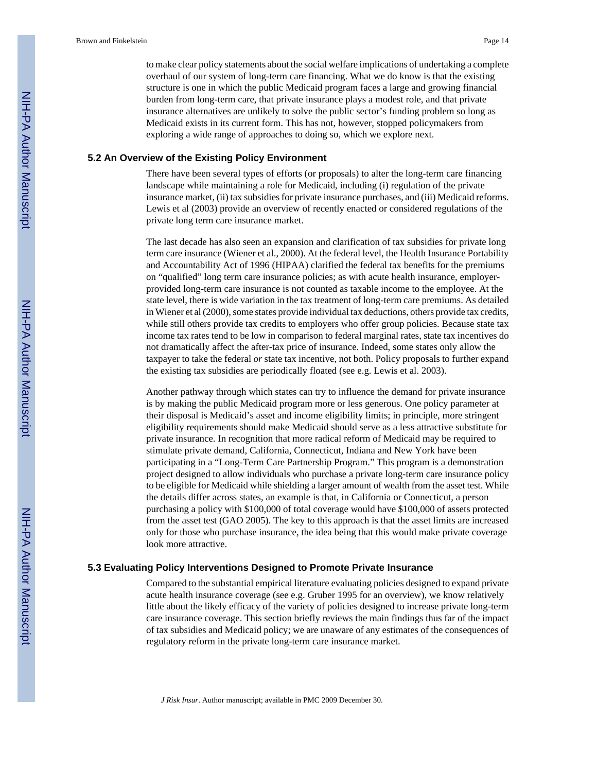to make clear policy statements about the social welfare implications of undertaking a complete overhaul of our system of long-term care financing. What we do know is that the existing structure is one in which the public Medicaid program faces a large and growing financial burden from long-term care, that private insurance plays a modest role, and that private insurance alternatives are unlikely to solve the public sector's funding problem so long as Medicaid exists in its current form. This has not, however, stopped policymakers from exploring a wide range of approaches to doing so, which we explore next.

# **5.2 An Overview of the Existing Policy Environment**

There have been several types of efforts (or proposals) to alter the long-term care financing landscape while maintaining a role for Medicaid, including (i) regulation of the private insurance market, (ii) tax subsidies for private insurance purchases, and (iii) Medicaid reforms. Lewis et al (2003) provide an overview of recently enacted or considered regulations of the private long term care insurance market.

The last decade has also seen an expansion and clarification of tax subsidies for private long term care insurance (Wiener et al., 2000). At the federal level, the Health Insurance Portability and Accountability Act of 1996 (HIPAA) clarified the federal tax benefits for the premiums on "qualified" long term care insurance policies; as with acute health insurance, employerprovided long-term care insurance is not counted as taxable income to the employee. At the state level, there is wide variation in the tax treatment of long-term care premiums. As detailed in Wiener et al (2000), some states provide individual tax deductions, others provide tax credits, while still others provide tax credits to employers who offer group policies. Because state tax income tax rates tend to be low in comparison to federal marginal rates, state tax incentives do not dramatically affect the after-tax price of insurance. Indeed, some states only allow the taxpayer to take the federal *or* state tax incentive, not both. Policy proposals to further expand the existing tax subsidies are periodically floated (see e.g. Lewis et al. 2003).

Another pathway through which states can try to influence the demand for private insurance is by making the public Medicaid program more or less generous. One policy parameter at their disposal is Medicaid's asset and income eligibility limits; in principle, more stringent eligibility requirements should make Medicaid should serve as a less attractive substitute for private insurance. In recognition that more radical reform of Medicaid may be required to stimulate private demand, California, Connecticut, Indiana and New York have been participating in a "Long-Term Care Partnership Program." This program is a demonstration project designed to allow individuals who purchase a private long-term care insurance policy to be eligible for Medicaid while shielding a larger amount of wealth from the asset test. While the details differ across states, an example is that, in California or Connecticut, a person purchasing a policy with \$100,000 of total coverage would have \$100,000 of assets protected from the asset test (GAO 2005). The key to this approach is that the asset limits are increased only for those who purchase insurance, the idea being that this would make private coverage look more attractive.

# **5.3 Evaluating Policy Interventions Designed to Promote Private Insurance**

Compared to the substantial empirical literature evaluating policies designed to expand private acute health insurance coverage (see e.g. Gruber 1995 for an overview), we know relatively little about the likely efficacy of the variety of policies designed to increase private long-term care insurance coverage. This section briefly reviews the main findings thus far of the impact of tax subsidies and Medicaid policy; we are unaware of any estimates of the consequences of regulatory reform in the private long-term care insurance market.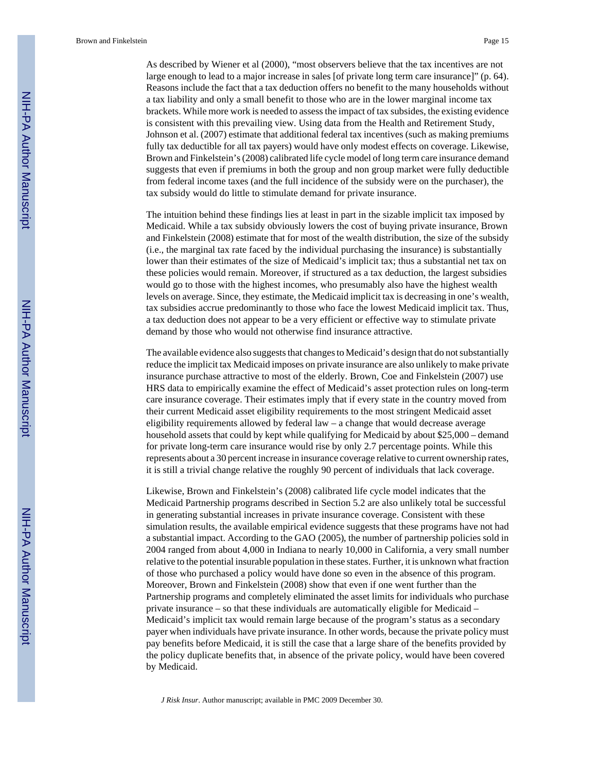Brown and Finkelstein Page 15

As described by Wiener et al (2000), "most observers believe that the tax incentives are not large enough to lead to a major increase in sales [of private long term care insurance]" (p. 64). Reasons include the fact that a tax deduction offers no benefit to the many households without a tax liability and only a small benefit to those who are in the lower marginal income tax brackets. While more work is needed to assess the impact of tax subsides, the existing evidence is consistent with this prevailing view. Using data from the Health and Retirement Study, Johnson et al. (2007) estimate that additional federal tax incentives (such as making premiums fully tax deductible for all tax payers) would have only modest effects on coverage. Likewise, Brown and Finkelstein's (2008) calibrated life cycle model of long term care insurance demand suggests that even if premiums in both the group and non group market were fully deductible from federal income taxes (and the full incidence of the subsidy were on the purchaser), the tax subsidy would do little to stimulate demand for private insurance.

The intuition behind these findings lies at least in part in the sizable implicit tax imposed by Medicaid. While a tax subsidy obviously lowers the cost of buying private insurance, Brown and Finkelstein (2008) estimate that for most of the wealth distribution, the size of the subsidy (i.e., the marginal tax rate faced by the individual purchasing the insurance) is substantially lower than their estimates of the size of Medicaid's implicit tax; thus a substantial net tax on these policies would remain. Moreover, if structured as a tax deduction, the largest subsidies would go to those with the highest incomes, who presumably also have the highest wealth levels on average. Since, they estimate, the Medicaid implicit tax is decreasing in one's wealth, tax subsidies accrue predominantly to those who face the lowest Medicaid implicit tax. Thus, a tax deduction does not appear to be a very efficient or effective way to stimulate private demand by those who would not otherwise find insurance attractive.

The available evidence also suggests that changes to Medicaid's design that do not substantially reduce the implicit tax Medicaid imposes on private insurance are also unlikely to make private insurance purchase attractive to most of the elderly. Brown, Coe and Finkelstein (2007) use HRS data to empirically examine the effect of Medicaid's asset protection rules on long-term care insurance coverage. Their estimates imply that if every state in the country moved from their current Medicaid asset eligibility requirements to the most stringent Medicaid asset eligibility requirements allowed by federal law – a change that would decrease average household assets that could by kept while qualifying for Medicaid by about \$25,000 – demand for private long-term care insurance would rise by only 2.7 percentage points. While this represents about a 30 percent increase in insurance coverage relative to current ownership rates, it is still a trivial change relative the roughly 90 percent of individuals that lack coverage.

Likewise, Brown and Finkelstein's (2008) calibrated life cycle model indicates that the Medicaid Partnership programs described in Section 5.2 are also unlikely total be successful in generating substantial increases in private insurance coverage. Consistent with these simulation results, the available empirical evidence suggests that these programs have not had a substantial impact. According to the GAO (2005), the number of partnership policies sold in 2004 ranged from about 4,000 in Indiana to nearly 10,000 in California, a very small number relative to the potential insurable population in these states. Further, it is unknown what fraction of those who purchased a policy would have done so even in the absence of this program. Moreover, Brown and Finkelstein (2008) show that even if one went further than the Partnership programs and completely eliminated the asset limits for individuals who purchase private insurance – so that these individuals are automatically eligible for Medicaid – Medicaid's implicit tax would remain large because of the program's status as a secondary payer when individuals have private insurance. In other words, because the private policy must pay benefits before Medicaid, it is still the case that a large share of the benefits provided by the policy duplicate benefits that, in absence of the private policy, would have been covered by Medicaid.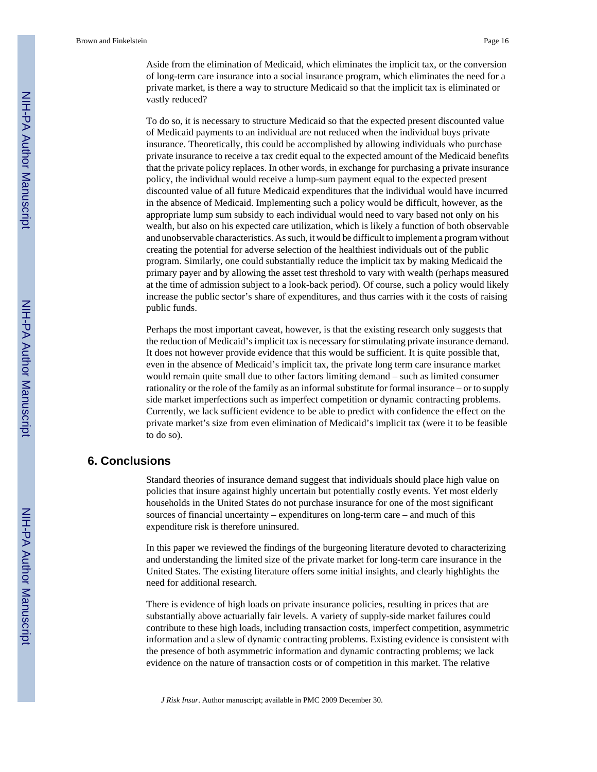Brown and Finkelstein Page 16

Aside from the elimination of Medicaid, which eliminates the implicit tax, or the conversion of long-term care insurance into a social insurance program, which eliminates the need for a private market, is there a way to structure Medicaid so that the implicit tax is eliminated or vastly reduced?

To do so, it is necessary to structure Medicaid so that the expected present discounted value of Medicaid payments to an individual are not reduced when the individual buys private insurance. Theoretically, this could be accomplished by allowing individuals who purchase private insurance to receive a tax credit equal to the expected amount of the Medicaid benefits that the private policy replaces. In other words, in exchange for purchasing a private insurance policy, the individual would receive a lump-sum payment equal to the expected present discounted value of all future Medicaid expenditures that the individual would have incurred in the absence of Medicaid. Implementing such a policy would be difficult, however, as the appropriate lump sum subsidy to each individual would need to vary based not only on his wealth, but also on his expected care utilization, which is likely a function of both observable and unobservable characteristics. As such, it would be difficult to implement a program without creating the potential for adverse selection of the healthiest individuals out of the public program. Similarly, one could substantially reduce the implicit tax by making Medicaid the primary payer and by allowing the asset test threshold to vary with wealth (perhaps measured at the time of admission subject to a look-back period). Of course, such a policy would likely increase the public sector's share of expenditures, and thus carries with it the costs of raising public funds.

Perhaps the most important caveat, however, is that the existing research only suggests that the reduction of Medicaid's implicit tax is necessary for stimulating private insurance demand. It does not however provide evidence that this would be sufficient. It is quite possible that, even in the absence of Medicaid's implicit tax, the private long term care insurance market would remain quite small due to other factors limiting demand – such as limited consumer rationality or the role of the family as an informal substitute for formal insurance – or to supply side market imperfections such as imperfect competition or dynamic contracting problems. Currently, we lack sufficient evidence to be able to predict with confidence the effect on the private market's size from even elimination of Medicaid's implicit tax (were it to be feasible to do so).

# **6. Conclusions**

Standard theories of insurance demand suggest that individuals should place high value on policies that insure against highly uncertain but potentially costly events. Yet most elderly households in the United States do not purchase insurance for one of the most significant sources of financial uncertainty – expenditures on long-term care – and much of this expenditure risk is therefore uninsured.

In this paper we reviewed the findings of the burgeoning literature devoted to characterizing and understanding the limited size of the private market for long-term care insurance in the United States. The existing literature offers some initial insights, and clearly highlights the need for additional research.

There is evidence of high loads on private insurance policies, resulting in prices that are substantially above actuarially fair levels. A variety of supply-side market failures could contribute to these high loads, including transaction costs, imperfect competition, asymmetric information and a slew of dynamic contracting problems. Existing evidence is consistent with the presence of both asymmetric information and dynamic contracting problems; we lack evidence on the nature of transaction costs or of competition in this market. The relative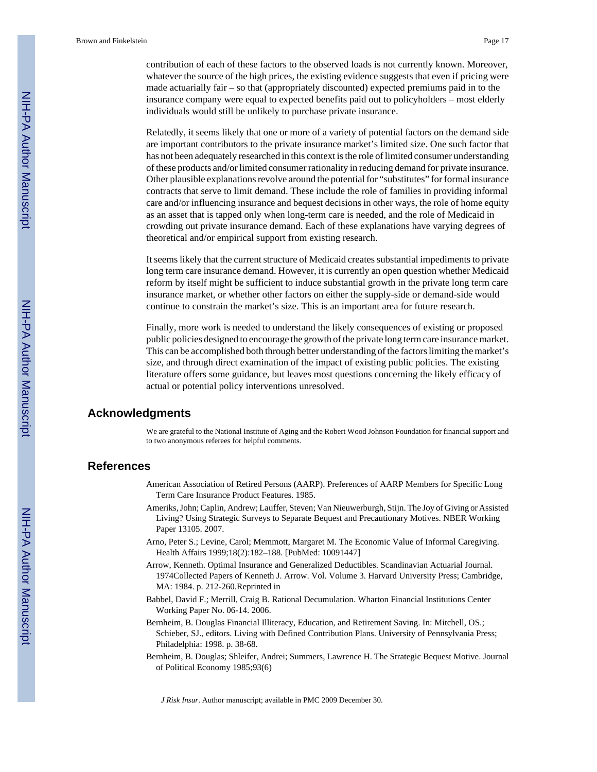contribution of each of these factors to the observed loads is not currently known. Moreover, whatever the source of the high prices, the existing evidence suggests that even if pricing were made actuarially fair – so that (appropriately discounted) expected premiums paid in to the insurance company were equal to expected benefits paid out to policyholders – most elderly individuals would still be unlikely to purchase private insurance.

Relatedly, it seems likely that one or more of a variety of potential factors on the demand side are important contributors to the private insurance market's limited size. One such factor that has not been adequately researched in this context is the role of limited consumer understanding of these products and/or limited consumer rationality in reducing demand for private insurance. Other plausible explanations revolve around the potential for "substitutes" for formal insurance contracts that serve to limit demand. These include the role of families in providing informal care and/or influencing insurance and bequest decisions in other ways, the role of home equity as an asset that is tapped only when long-term care is needed, and the role of Medicaid in crowding out private insurance demand. Each of these explanations have varying degrees of theoretical and/or empirical support from existing research.

It seems likely that the current structure of Medicaid creates substantial impediments to private long term care insurance demand. However, it is currently an open question whether Medicaid reform by itself might be sufficient to induce substantial growth in the private long term care insurance market, or whether other factors on either the supply-side or demand-side would continue to constrain the market's size. This is an important area for future research.

Finally, more work is needed to understand the likely consequences of existing or proposed public policies designed to encourage the growth of the private long term care insurance market. This can be accomplished both through better understanding of the factors limiting the market's size, and through direct examination of the impact of existing public policies. The existing literature offers some guidance, but leaves most questions concerning the likely efficacy of actual or potential policy interventions unresolved.

# **Acknowledgments**

We are grateful to the National Institute of Aging and the Robert Wood Johnson Foundation for financial support and to two anonymous referees for helpful comments.

# **References**

- American Association of Retired Persons (AARP). Preferences of AARP Members for Specific Long Term Care Insurance Product Features. 1985.
- Ameriks, John; Caplin, Andrew; Lauffer, Steven; Van Nieuwerburgh, Stijn. The Joy of Giving or Assisted Living? Using Strategic Surveys to Separate Bequest and Precautionary Motives. NBER Working Paper 13105. 2007.
- Arno, Peter S.; Levine, Carol; Memmott, Margaret M. The Economic Value of Informal Caregiving. Health Affairs 1999;18(2):182–188. [PubMed: 10091447]
- Arrow, Kenneth. Optimal Insurance and Generalized Deductibles. Scandinavian Actuarial Journal. 1974Collected Papers of Kenneth J. Arrow. Vol. Volume 3. Harvard University Press; Cambridge, MA: 1984. p. 212-260.Reprinted in
- Babbel, David F.; Merrill, Craig B. Rational Decumulation. Wharton Financial Institutions Center Working Paper No. 06-14. 2006.
- Bernheim, B. Douglas Financial Illiteracy, Education, and Retirement Saving. In: Mitchell, OS.; Schieber, SJ., editors. Living with Defined Contribution Plans. University of Pennsylvania Press; Philadelphia: 1998. p. 38-68.
- Bernheim, B. Douglas; Shleifer, Andrei; Summers, Lawrence H. The Strategic Bequest Motive. Journal of Political Economy 1985;93(6)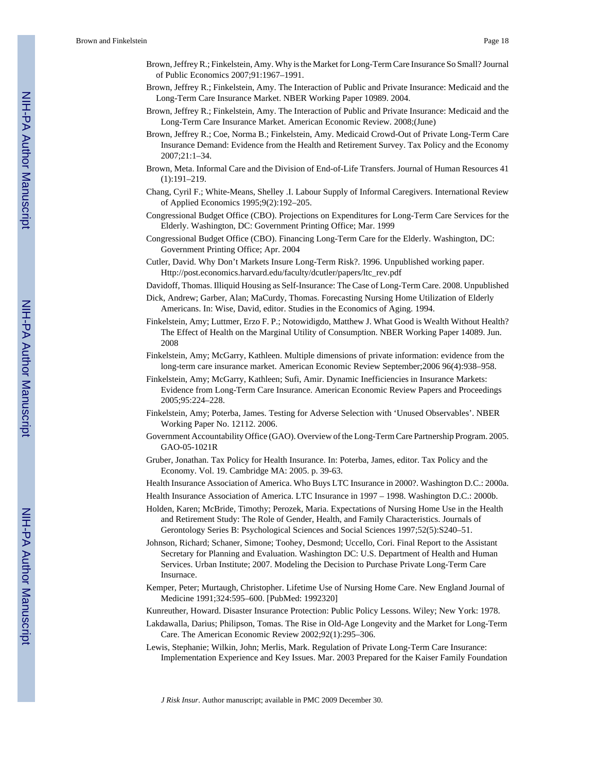- Brown, Jeffrey R.; Finkelstein, Amy. Why is the Market for Long-Term Care Insurance So Small? Journal of Public Economics 2007;91:1967–1991.
- Brown, Jeffrey R.; Finkelstein, Amy. The Interaction of Public and Private Insurance: Medicaid and the Long-Term Care Insurance Market. NBER Working Paper 10989. 2004.
- Brown, Jeffrey R.; Finkelstein, Amy. The Interaction of Public and Private Insurance: Medicaid and the Long-Term Care Insurance Market. American Economic Review. 2008;(June)
- Brown, Jeffrey R.; Coe, Norma B.; Finkelstein, Amy. Medicaid Crowd-Out of Private Long-Term Care Insurance Demand: Evidence from the Health and Retirement Survey. Tax Policy and the Economy 2007;21:1–34.
- Brown, Meta. Informal Care and the Division of End-of-Life Transfers. Journal of Human Resources 41 (1):191–219.
- Chang, Cyril F.; White-Means, Shelley .I. Labour Supply of Informal Caregivers. International Review of Applied Economics 1995;9(2):192–205.
- Congressional Budget Office (CBO). Projections on Expenditures for Long-Term Care Services for the Elderly. Washington, DC: Government Printing Office; Mar. 1999
- Congressional Budget Office (CBO). Financing Long-Term Care for the Elderly. Washington, DC: Government Printing Office; Apr. 2004
- Cutler, David. Why Don't Markets Insure Long-Term Risk?. 1996. Unpublished working paper. [Http://post.economics.harvard.edu/faculty/dcutler/papers/ltc\\_rev.pdf](http://Http://post.economics.harvard.edu/faculty/dcutler/papers/ltc_rev.pdf)
- Davidoff, Thomas. Illiquid Housing as Self-Insurance: The Case of Long-Term Care. 2008. Unpublished
- Dick, Andrew; Garber, Alan; MaCurdy, Thomas. Forecasting Nursing Home Utilization of Elderly Americans. In: Wise, David, editor. Studies in the Economics of Aging. 1994.
- Finkelstein, Amy; Luttmer, Erzo F. P.; Notowidigdo, Matthew J. What Good is Wealth Without Health? The Effect of Health on the Marginal Utility of Consumption. NBER Working Paper 14089. Jun. 2008
- Finkelstein, Amy; McGarry, Kathleen. Multiple dimensions of private information: evidence from the long-term care insurance market. American Economic Review September;2006 96(4):938–958.
- Finkelstein, Amy; McGarry, Kathleen; Sufi, Amir. Dynamic Inefficiencies in Insurance Markets: Evidence from Long-Term Care Insurance. American Economic Review Papers and Proceedings 2005;95:224–228.
- Finkelstein, Amy; Poterba, James. Testing for Adverse Selection with 'Unused Observables'. NBER Working Paper No. 12112. 2006.
- Government Accountability Office (GAO). Overview of the Long-Term Care Partnership Program. 2005. GAO-05-1021R
- Gruber, Jonathan. Tax Policy for Health Insurance. In: Poterba, James, editor. Tax Policy and the Economy. Vol. 19. Cambridge MA: 2005. p. 39-63.
- Health Insurance Association of America. Who Buys LTC Insurance in 2000?. Washington D.C.: 2000a.
- Health Insurance Association of America. LTC Insurance in 1997 1998. Washington D.C.: 2000b.
- Holden, Karen; McBride, Timothy; Perozek, Maria. Expectations of Nursing Home Use in the Health and Retirement Study: The Role of Gender, Health, and Family Characteristics. Journals of Gerontology Series B: Psychological Sciences and Social Sciences 1997;52(5):S240–51.
- Johnson, Richard; Schaner, Simone; Toohey, Desmond; Uccello, Cori. Final Report to the Assistant Secretary for Planning and Evaluation. Washington DC: U.S. Department of Health and Human Services. Urban Institute; 2007. Modeling the Decision to Purchase Private Long-Term Care Insurnace.
- Kemper, Peter; Murtaugh, Christopher. Lifetime Use of Nursing Home Care. New England Journal of Medicine 1991;324:595–600. [PubMed: 1992320]
- Kunreuther, Howard. Disaster Insurance Protection: Public Policy Lessons. Wiley; New York: 1978.
- Lakdawalla, Darius; Philipson, Tomas. The Rise in Old-Age Longevity and the Market for Long-Term Care. The American Economic Review 2002;92(1):295–306.
- Lewis, Stephanie; Wilkin, John; Merlis, Mark. Regulation of Private Long-Term Care Insurance: Implementation Experience and Key Issues. Mar. 2003 Prepared for the Kaiser Family Foundation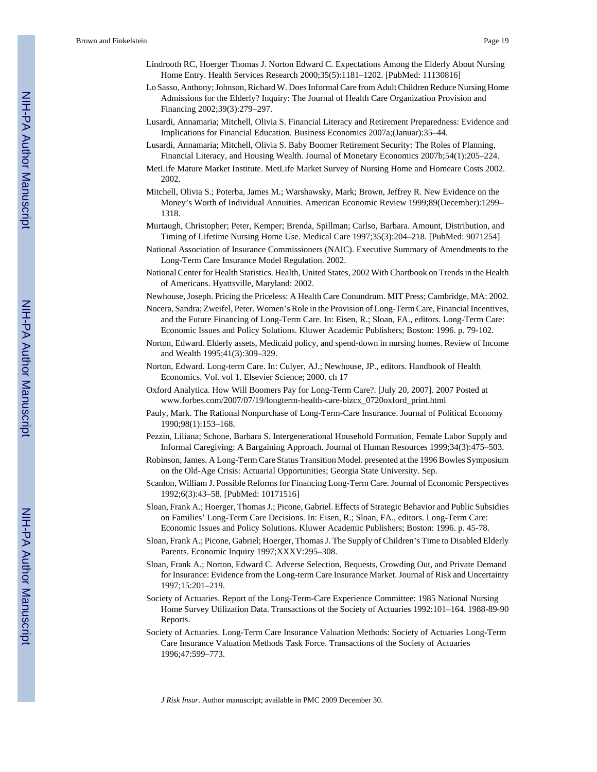- Lindrooth RC, Hoerger Thomas J. Norton Edward C. Expectations Among the Elderly About Nursing Home Entry. Health Services Research 2000;35(5):1181–1202. [PubMed: 11130816]
- Lo Sasso, Anthony; Johnson, Richard W. Does Informal Care from Adult Children Reduce Nursing Home Admissions for the Elderly? Inquiry: The Journal of Health Care Organization Provision and Financing 2002;39(3):279–297.
- Lusardi, Annamaria; Mitchell, Olivia S. Financial Literacy and Retirement Preparedness: Evidence and Implications for Financial Education. Business Economics 2007a;(Januar):35–44.
- Lusardi, Annamaria; Mitchell, Olivia S. Baby Boomer Retirement Security: The Roles of Planning, Financial Literacy, and Housing Wealth. Journal of Monetary Economics 2007b;54(1):205–224.
- MetLife Mature Market Institute. MetLife Market Survey of Nursing Home and Homeare Costs 2002. 2002.
- Mitchell, Olivia S.; Poterba, James M.; Warshawsky, Mark; Brown, Jeffrey R. New Evidence on the Money's Worth of Individual Annuities. American Economic Review 1999;89(December):1299– 1318.
- Murtaugh, Christopher; Peter, Kemper; Brenda, Spillman; Carlso, Barbara. Amount, Distribution, and Timing of Lifetime Nursing Home Use. Medical Care 1997;35(3):204–218. [PubMed: 9071254]
- National Association of Insurance Commissioners (NAIC). Executive Summary of Amendments to the Long-Term Care Insurance Model Regulation. 2002.
- National Center for Health Statistics. Health, United States, 2002 With Chartbook on Trends in the Health of Americans. Hyattsville, Maryland: 2002.
- Newhouse, Joseph. Pricing the Priceless: A Health Care Conundrum. MIT Press; Cambridge, MA: 2002.
- Nocera, Sandra; Zweifel, Peter. Women's Role in the Provision of Long-Term Care, Financial Incentives, and the Future Financing of Long-Term Care. In: Eisen, R.; Sloan, FA., editors. Long-Term Care: Economic Issues and Policy Solutions. Kluwer Academic Publishers; Boston: 1996. p. 79-102.
- Norton, Edward. Elderly assets, Medicaid policy, and spend-down in nursing homes. Review of Income and Wealth 1995;41(3):309–329.
- Norton, Edward. Long-term Care. In: Culyer, AJ.; Newhouse, JP., editors. Handbook of Health Economics. Vol. vol 1. Elsevier Science; 2000. ch 17
- Oxford Analytica. How Will Boomers Pay for Long-Term Care?. [July 20, 2007]. 2007 Posted at [www.forbes.com/2007/07/19/longterm-health-care-bizcx\\_0720oxford\\_print.html](http://www.forbes.com/2007/07/19/longterm-health-care-bizcx_0720oxford_print.html)
- Pauly, Mark. The Rational Nonpurchase of Long-Term-Care Insurance. Journal of Political Economy 1990;98(1):153–168.
- Pezzin, Liliana; Schone, Barbara S. Intergenerational Household Formation, Female Labor Supply and Informal Caregiving: A Bargaining Approach. Journal of Human Resources 1999;34(3):475–503.
- Robinson, James. A Long-Term Care Status Transition Model. presented at the 1996 Bowles Symposium on the Old-Age Crisis: Actuarial Opportunities; Georgia State University. Sep.
- Scanlon, William J. Possible Reforms for Financing Long-Term Care. Journal of Economic Perspectives 1992;6(3):43–58. [PubMed: 10171516]
- Sloan, Frank A.; Hoerger, Thomas J.; Picone, Gabriel. Effects of Strategic Behavior and Public Subsidies on Families' Long-Term Care Decisions. In: Eisen, R.; Sloan, FA., editors. Long-Term Care: Economic Issues and Policy Solutions. Kluwer Academic Publishers; Boston: 1996. p. 45-78.
- Sloan, Frank A.; Picone, Gabriel; Hoerger, Thomas J. The Supply of Children's Time to Disabled Elderly Parents. Economic Inquiry 1997;XXXV:295–308.
- Sloan, Frank A.; Norton, Edward C. Adverse Selection, Bequests, Crowding Out, and Private Demand for Insurance: Evidence from the Long-term Care Insurance Market. Journal of Risk and Uncertainty 1997;15:201–219.
- Society of Actuaries. Report of the Long-Term-Care Experience Committee: 1985 National Nursing Home Survey Utilization Data. Transactions of the Society of Actuaries 1992:101–164. 1988-89-90 Reports.
- Society of Actuaries. Long-Term Care Insurance Valuation Methods: Society of Actuaries Long-Term Care Insurance Valuation Methods Task Force. Transactions of the Society of Actuaries 1996;47:599–773.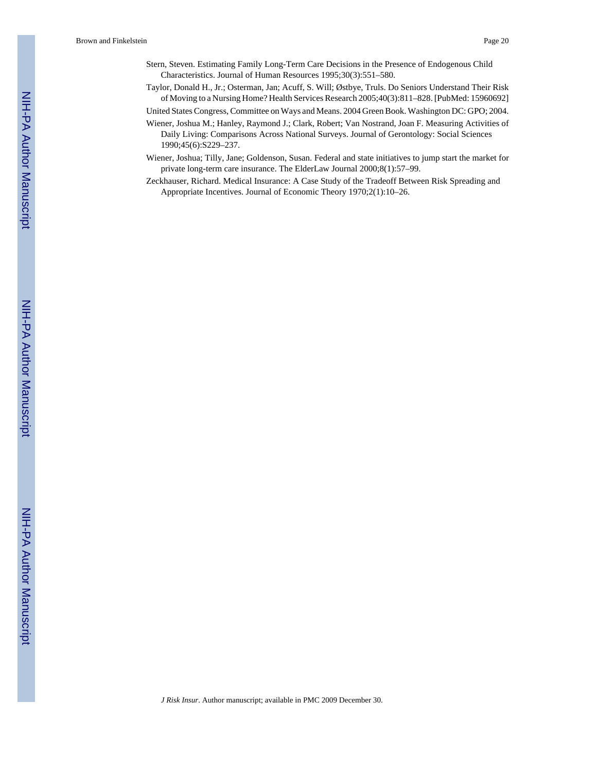- Stern, Steven. Estimating Family Long-Term Care Decisions in the Presence of Endogenous Child Characteristics. Journal of Human Resources 1995;30(3):551–580.
- Taylor, Donald H., Jr.; Osterman, Jan; Acuff, S. Will; Østbye, Truls. Do Seniors Understand Their Risk of Moving to a Nursing Home? Health Services Research 2005;40(3):811–828. [PubMed: 15960692]
- United States Congress, Committee on Ways and Means. 2004 Green Book. Washington DC: GPO; 2004.
- Wiener, Joshua M.; Hanley, Raymond J.; Clark, Robert; Van Nostrand, Joan F. Measuring Activities of Daily Living: Comparisons Across National Surveys. Journal of Gerontology: Social Sciences 1990;45(6):S229–237.
- Wiener, Joshua; Tilly, Jane; Goldenson, Susan. Federal and state initiatives to jump start the market for private long-term care insurance. The ElderLaw Journal 2000;8(1):57–99.
- Zeckhauser, Richard. Medical Insurance: A Case Study of the Tradeoff Between Risk Spreading and Appropriate Incentives. Journal of Economic Theory 1970;2(1):10–26.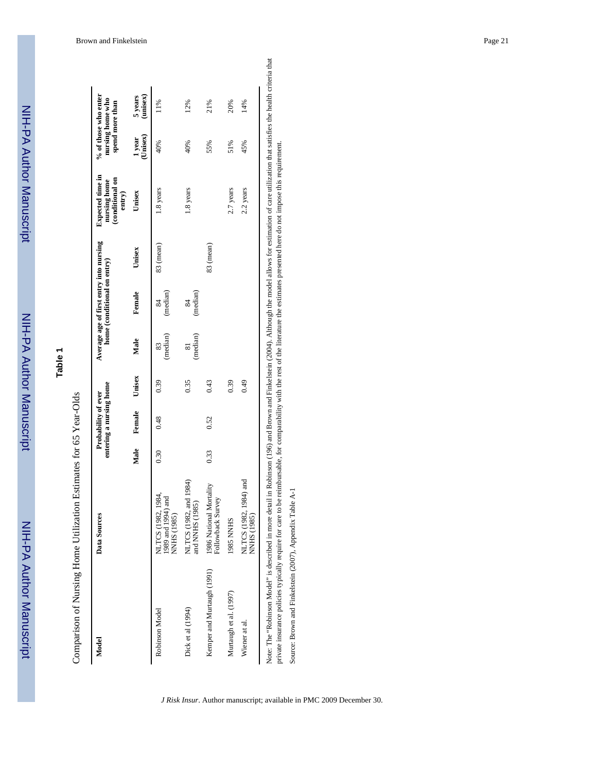| Model                      | Data Sources                                            |      | entering a nursing home<br>Probability of ever |        |                                     | Average age of first entry into nursing<br>home (conditional on entry) |           | <b>Expected time in</b><br>(conditional on<br>nursing home<br>entry) | % of those who enter<br>nursing home who<br>spend more than |                     |
|----------------------------|---------------------------------------------------------|------|------------------------------------------------|--------|-------------------------------------|------------------------------------------------------------------------|-----------|----------------------------------------------------------------------|-------------------------------------------------------------|---------------------|
|                            |                                                         | Male | Female                                         | Unisex | Male                                | Female                                                                 | Unisex    | Unisex                                                               | 1 year<br>(Unisex)                                          | 5 years<br>(unisex) |
| Robinson Model             | NLTCS (1982, 1984,<br>1989 and 1994) and<br>NNHS (1985) | 0.30 | 0.48                                           | 0.39   | (median)<br>83                      | (median)<br>84                                                         | 83 (mean) | 1.8 years                                                            | 40%                                                         | 11%                 |
| Dick et al (1994)          | NLTCS (1982, and 1984)<br>and NNHS (1985)               |      |                                                | 0.35   | (median)<br>$\overline{\mathbf{s}}$ | $rac{84}{\text{median}}$                                               |           | 1.8 years                                                            | 40%                                                         | 12%                 |
| Kemper and Murtaugh (1991) | 1986 National Mortality<br>Followback Survey            | 0.33 | 0.52                                           | 0.43   |                                     |                                                                        | 83 (mean) |                                                                      | 55%                                                         | 21%                 |
| Murtaugh et al. (1997)     | 1985 NNHS                                               |      |                                                | 0.39   |                                     |                                                                        |           | 2.7 years                                                            | 51%                                                         | 20%                 |
| Wiener at al.              | NLTCS (1982, 1984) and<br>NNHS (1985)                   |      |                                                | 0.49   |                                     |                                                                        |           | 2.2 years                                                            | 45%                                                         | 14%                 |

Note: The "Robinson Model" is described in more detail in Robinson (196) and Brown and Finkelstein (2004). Although the model allows for estimation of care utilization that satisfies the health criteria that<br>private insura Note: The "Robinson Model" is described in more detail in Robinson (196) and Brown and Finkelstein (2004). Although the model allows for estimation of care utilization that satisfies the health criteria that private insurance policies typically require for care to be reimbursable, for comparability with the rest of the literature the estimates presented here do not impose this requirement.

Source: Brown and Finkelstein (2007), Appendix Table A-1 Source: Brown and Finkelstein (2007), Appendix Table A-1

*J Risk Insur*. Author manuscript; available in PMC 2009 December 30.

**Table 1**

NIH-PA Author Manuscript

NIH-PA Author Manuscript